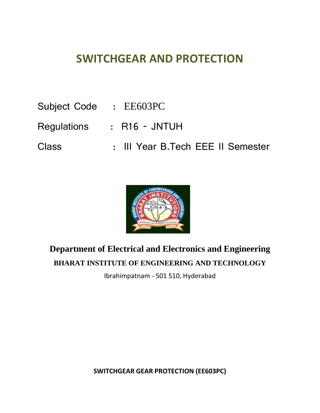# **SWITCHGEAR AND PROTECTION**

- Subject Code : EE603PC
- Regulations : R16 JNTUH
- Class : III Year B.Tech EEE II Semester



# **Department of Electrical and Electronics and Engineering BHARAT INSTITUTE OF ENGINEERING AND TECHNOLOGY**

Ibrahimpatnam - 501 510, Hyderabad

**SWITCHGEAR GEAR PROTECTION (EE603PC)**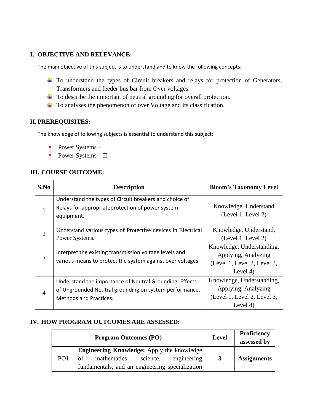## **I. OBJECTIVE AND RELEVANCE:**

The main objective of this subject is to understand and to know the following concepts:

- <sup>1</sup> To understand the types of Circuit breakers and relays for protection of Generators, Transformers and feeder bus bar from Over voltages.
- $\ddot{\phantom{1}}$  To describe the important of neutral grounding for overall protection.
- To analyses the phenomenon of over Voltage and its classification.

## **II. PREREQUISITES:**

The knowledge of following subjects is essential to understand this subject:

- Power Systems I.
- Power Systems II.

## **III. COURSE OUTCOME:**

| S.No           | <b>Description</b>                                                                                                                                 | <b>Bloom's Taxonomy Level</b>                                                                 |
|----------------|----------------------------------------------------------------------------------------------------------------------------------------------------|-----------------------------------------------------------------------------------------------|
|                | Understand the types of Circuit breakers and choice of<br>Relays for appropriateprotection of power system<br>equipment.                           | Knowledge, Understand<br>(Level 1, Level 2)                                                   |
| $\overline{2}$ | Understand various types of Protective devices in Electrical<br>Power Systems.                                                                     | Knowledge, Understand,<br>(Level 1, Level 2)                                                  |
| 3              | Interpret the existing transmission voltage levels and<br>various means to protect the system against over voltages.                               | Knowledge, Understanding,<br>Applying, Analyzing<br>(Level 1, Level 2, Level 3,<br>Level $4)$ |
| $\overline{A}$ | Understand the importance of Neutral Grounding, Effects<br>of Ungrounded Neutral grounding on system performance,<br><b>Methods and Practices.</b> | Knowledge, Understanding,<br>Applying, Analyzing<br>(Level 1, Level 2, Level 3,<br>Level $4)$ |

## **IV. HOW PROGRAM OUTCOMES ARE ASSESSED:**

|                 | <b>Program Outcomes (PO)</b>                      | <b>Level</b> | <b>Proficiency</b><br>assessed by |
|-----------------|---------------------------------------------------|--------------|-----------------------------------|
|                 | <b>Engineering Knowledge:</b> Apply the knowledge |              |                                   |
| PO <sub>1</sub> | mathematics,<br>engineering<br>science,<br>of     | 3            | <b>Assignments</b>                |
|                 | fundamentals, and an engineering specialization   |              |                                   |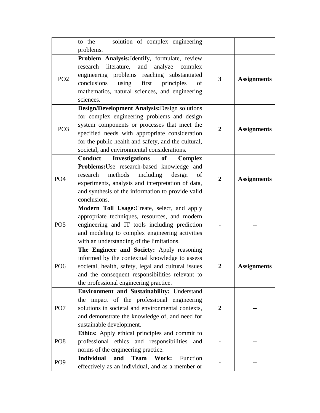|                 | solution of complex engineering<br>to the                                                                                                                                                                                                                                                            |                |                    |
|-----------------|------------------------------------------------------------------------------------------------------------------------------------------------------------------------------------------------------------------------------------------------------------------------------------------------------|----------------|--------------------|
|                 | problems.                                                                                                                                                                                                                                                                                            |                |                    |
| PO <sub>2</sub> | Problem Analysis: Identify, formulate, review<br>literature,<br>research<br>and<br>analyze<br>complex<br>engineering problems reaching substantiated<br>conclusions<br>using<br>first<br>principles<br>of<br>mathematics, natural sciences, and engineering<br>sciences.                             | 3              | <b>Assignments</b> |
| PO <sub>3</sub> | Design/Development Analysis: Design solutions<br>for complex engineering problems and design<br>system components or processes that meet the<br>specified needs with appropriate consideration<br>for the public health and safety, and the cultural,<br>societal, and environmental considerations. | $\overline{2}$ | <b>Assignments</b> |
| PO <sub>4</sub> | <b>Investigations</b><br><b>Conduct</b><br>of<br><b>Complex</b><br>Problems: Use research-based knowledge and<br>methods<br>including<br>design<br>research<br>of<br>experiments, analysis and interpretation of data,<br>and synthesis of the information to provide valid<br>conclusions.          | $\overline{2}$ | <b>Assignments</b> |
| PO <sub>5</sub> | Modern Toll Usage: Create, select, and apply<br>appropriate techniques, resources, and modern<br>engineering and IT tools including prediction<br>and modeling to complex engineering activities<br>with an understanding of the limitations.                                                        |                |                    |
| PO <sub>6</sub> | The Engineer and Society: Apply reasoning<br>informed by the contextual knowledge to assess<br>societal, health, safety, legal and cultural issues<br>and the consequent responsibilities relevant to<br>the professional engineering practice.                                                      | $\overline{2}$ | <b>Assignments</b> |
| PO <sub>7</sub> | Environment and Sustainability: Understand<br>the impact of the professional engineering<br>solutions in societal and environmental contexts,<br>and demonstrate the knowledge of, and need for<br>sustainable development.                                                                          | $\mathbf{2}$   |                    |
| PO <sub>8</sub> | Ethics: Apply ethical principles and commit to<br>professional ethics and responsibilities<br>and<br>norms of the engineering practice.                                                                                                                                                              |                |                    |
| PO <sub>9</sub> | <b>Individual</b><br>and<br><b>Team</b><br>Work:<br>Function<br>effectively as an individual, and as a member or                                                                                                                                                                                     |                |                    |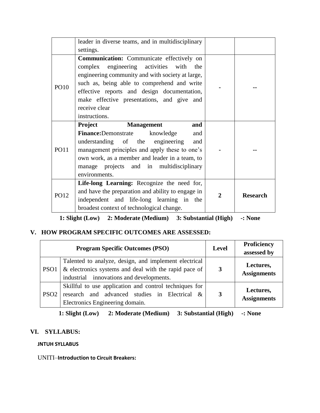|             | leader in diverse teams, and in multidisciplinary                                                                                                                                                                                                                                                                      |   |                 |
|-------------|------------------------------------------------------------------------------------------------------------------------------------------------------------------------------------------------------------------------------------------------------------------------------------------------------------------------|---|-----------------|
|             | settings.                                                                                                                                                                                                                                                                                                              |   |                 |
| <b>PO10</b> | Communication: Communicate effectively on<br>complex engineering activities with the<br>engineering community and with society at large,<br>such as, being able to comprehend and write<br>effective reports and design documentation,<br>make effective presentations, and give and<br>receive clear<br>instructions. |   |                 |
|             | <b>Management</b><br>Project<br>and                                                                                                                                                                                                                                                                                    |   |                 |
| <b>PO11</b> | <b>Finance:</b> Demonstrate<br>knowledge<br>and<br>understanding of the engineering<br>and<br>management principles and apply these to one's<br>own work, as a member and leader in a team, to<br>manage projects and in multidisciplinary<br>environments.                                                            |   |                 |
| <b>PO12</b> | Life-long Learning: Recognize the need for,<br>and have the preparation and ability to engage in<br>independent and life-long learning in the<br>broadest context of technological change.                                                                                                                             | 2 | <b>Research</b> |

**1: Slight (Low) 2: Moderate (Medium) 3: Substantial (High) -: None**

# **V. HOW PROGRAM SPECIFIC OUTCOMES ARE ASSESSED:**

|                  | <b>Program Specific Outcomes (PSO)</b>                                                                                                                        | <b>Level</b> | Proficiency<br>assessed by      |
|------------------|---------------------------------------------------------------------------------------------------------------------------------------------------------------|--------------|---------------------------------|
| PSO <sub>1</sub> | Talented to analyze, design, and implement electrical<br>$\&$ electronics systems and deal with the rapid pace of<br>industrial innovations and developments. | 3            | Lectures,<br><b>Assignments</b> |
| PSO <sub>2</sub> | Skillful to use application and control techniques for<br>research and advanced studies in Electrical &<br>Electronics Engineering domain.                    | 3            | Lectures,<br><b>Assignments</b> |

**1: Slight (Low) 2: Moderate (Medium) 3: Substantial (High) -: None**

# **VI. SYLLABUS:**

**JNTUH SYLLABUS**

UNITI–**Introduction to Circuit Breakers:**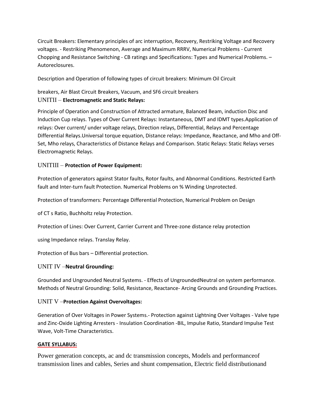Circuit Breakers: Elementary principles of arc interruption, Recovery, Restriking Voltage and Recovery voltages. - Restriking Phenomenon, Average and Maximum RRRV, Numerical Problems - Current Chopping and Resistance Switching - CB ratings and Specifications: Types and Numerical Problems. – Autoreclosures.

Description and Operation of following types of circuit breakers: Minimum Oil Circuit

## breakers, Air Blast Circuit Breakers, Vacuum, and SF6 circuit breakers UNITII – **Electromagnetic and Static Relays:**

Principle of Operation and Construction of Attracted armature, Balanced Beam, induction Disc and Induction Cup relays. Types of Over Current Relays: Instantaneous, DMT and IDMT types.Application of relays: Over current/ under voltage relays, Direction relays, Differential, Relays and Percentage Differential Relays.Universal torque equation, Distance relays: Impedance, Reactance, and Mho and Off-Set, Mho relays, Characteristics of Distance Relays and Comparison. Static Relays: Static Relays verses Electromagnetic Relays.

## UNITIII – **Protection of Power Equipment:**

Protection of generators against Stator faults, Rotor faults, and Abnormal Conditions. Restricted Earth fault and Inter-turn fault Protection. Numerical Problems on % Winding Unprotected.

Protection of transformers: Percentage Differential Protection, Numerical Problem on Design

of CT s Ratio, Buchholtz relay Protection.

Protection of Lines: Over Current, Carrier Current and Three-zone distance relay protection

using Impedance relays. Translay Relay.

Protection of Bus bars – Differential protection.

## UNIT IV –**Neutral Grounding:**

Grounded and Ungrounded Neutral Systems. - Effects of UngroundedNeutral on system performance. Methods of Neutral Grounding: Solid, Resistance, Reactance- Arcing Grounds and Grounding Practices.

#### UNIT V –**Protection Against Overvoltages:**

Generation of Over Voltages in Power Systems.- Protection against Lightning Over Voltages - Valve type and Zinc-Oxide Lighting Arresters - Insulation Coordination -BIL, Impulse Ratio, Standard Impulse Test Wave, Volt-Time Characteristics.

#### **GATE SYLLABUS:**

Power generation concepts, ac and dc transmission concepts, Models and performanceof transmission lines and cables, Series and shunt compensation, Electric field distributionand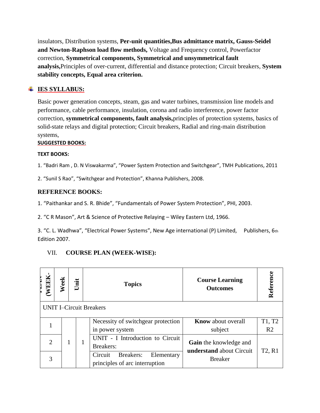insulators, Distribution systems, **Per**‐**unit quantities,Bus admittance matrix, Gauss-Seidel and Newton-Raphson load flow methods,** Voltage and Frequency control, Powerfactor correction, **Symmetrical components, Symmetrical and unsymmetrical fault analysis,**Principles of over‐current, differential and distance protection; Circuit breakers, **System stability concepts, Equal area criterion.**

# **IES SYLLABUS:**

Basic power generation concepts, steam, gas and water turbines, transmission line models and performance, cable performance, insulation, corona and radio interference, power factor correction, **symmetrical components, fault analysis,**principles of protection systems, basics of solid-state relays and digital protection; Circuit breakers, Radial and ring-main distribution systems,

## **SUGGESTED BOOKS:**

#### **TEXT BOOKS:**

1. "Badri Ram , D. N Viswakarma", "Power System Protection and Switchgear", TMH Publications, 2011

2. "Sunil S Rao", "Switchgear and Protection", Khanna Publishers, 2008.

## **REFERENCE BOOKS:**

1. "Paithankar and S. R. Bhide", "Fundamentals of Power System Protection", PHI, 2003.

2. "C R Mason", Art & Science of Protective Relaying – Wiley Eastern Ltd, 1966.

3. "C. L. Wadhwa", "Electrical Power Systems", New Age international (P) Limited, Publishers, 6th Edition 2007.

## VII. **COURSE PLAN (WEEK-WISE):**

| <b>EEK</b> | eek                            | Unit |  | <b>Topics</b>                                                        | <b>Course Learning</b><br><b>Outcomes</b>                 | Refere                          |  |  |  |  |  |
|------------|--------------------------------|------|--|----------------------------------------------------------------------|-----------------------------------------------------------|---------------------------------|--|--|--|--|--|
|            | <b>UNIT I–Circuit Breakers</b> |      |  |                                                                      |                                                           |                                 |  |  |  |  |  |
|            |                                |      |  | Necessity of switchgear protection<br>in power system                | <b>Know</b> about overall<br>subject                      | T1, T2<br>R <sub>2</sub>        |  |  |  |  |  |
|            |                                |      |  | UNIT - I Introduction to Circuit<br><b>Breakers:</b>                 | <b>Gain</b> the knowledge and<br>understand about Circuit | T <sub>2</sub> , R <sub>1</sub> |  |  |  |  |  |
|            |                                |      |  | Breakers:<br>Circuit<br>Elementary<br>principles of arc interruption | <b>Breaker</b>                                            |                                 |  |  |  |  |  |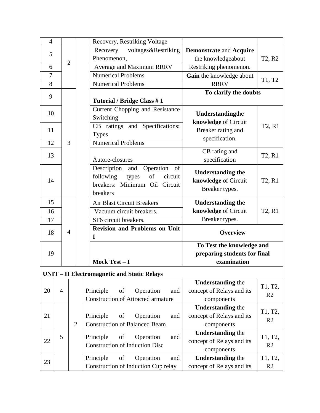| $\overline{4}$ |                |                |  | Recovery, Restriking Voltage                                                                                           |                                                                     |                                 |
|----------------|----------------|----------------|--|------------------------------------------------------------------------------------------------------------------------|---------------------------------------------------------------------|---------------------------------|
| 5              |                |                |  | voltages&Restriking<br>Recovery                                                                                        | <b>Demonstrate and Acquire</b>                                      |                                 |
|                | $\overline{2}$ |                |  | Phenomenon,                                                                                                            | the knowledgeabout                                                  | T <sub>2</sub> , R <sub>2</sub> |
| 6              |                |                |  | Average and Maximum RRRV                                                                                               | Restriking phenomenon.                                              |                                 |
| $\overline{7}$ |                |                |  | <b>Numerical Problems</b>                                                                                              | Gain the knowledge about                                            | T1, T2                          |
| 8              |                |                |  | Numerical Problems                                                                                                     | <b>RRRV</b>                                                         |                                 |
| 9              |                |                |  | Tutorial / Bridge Class #1                                                                                             | To clarify the doubts                                               |                                 |
| 10             |                |                |  | Current Chopping and Resistance<br>Switching                                                                           | Understandingthe                                                    |                                 |
| 11             |                |                |  | CB ratings and Specifications:<br><b>Types</b>                                                                         | knowledge of Circuit<br>Breaker rating and<br>specification.        | T <sub>2</sub> , R <sub>1</sub> |
| 12             |                | 3              |  | Numerical Problems                                                                                                     |                                                                     |                                 |
| 13             |                |                |  | Autore-closures                                                                                                        | CB rating and<br>specification                                      | T <sub>2</sub> , R <sub>1</sub> |
| 14             |                |                |  | Description and<br>Operation<br>of<br>of<br>following<br>circuit<br>types<br>breakers: Minimum Oil Circuit<br>breakers | <b>Understanding the</b><br>knowledge of Circuit<br>Breaker types.  | T <sub>2</sub> , R <sub>1</sub> |
| 15             |                |                |  | <b>Air Blast Circuit Breakers</b>                                                                                      | <b>Understanding the</b>                                            |                                 |
| 16             |                |                |  | Vacuum circuit breakers.                                                                                               | knowledge of Circuit                                                | T <sub>2</sub> , R <sub>1</sub> |
| 17             |                |                |  | SF6 circuit breakers.                                                                                                  | Breaker types.                                                      |                                 |
| 18             |                | $\overline{4}$ |  | <b>Revision and Problems on Unit</b><br>I                                                                              | <b>Overview</b>                                                     |                                 |
|                |                |                |  |                                                                                                                        | To Test the knowledge and                                           |                                 |
| 19             |                |                |  |                                                                                                                        | preparing students for final                                        |                                 |
|                |                |                |  | Mock Test-I                                                                                                            | examination                                                         |                                 |
|                |                |                |  | <b>UNIT - II Electromagnetic and Static Relays</b>                                                                     |                                                                     |                                 |
| 20             | $\overline{4}$ |                |  | Principle<br>Operation<br>of<br>and<br><b>Construction of Attracted armature</b>                                       | <b>Understanding the</b><br>concept of Relays and its<br>components | T1, T2,<br>R <sub>2</sub>       |
|                |                |                |  |                                                                                                                        | <b>Understanding the</b>                                            |                                 |
| 21             |                |                |  | Principle<br>Operation<br>of<br>and                                                                                    | concept of Relays and its                                           | T1, T2,                         |
|                |                | $\overline{2}$ |  | <b>Construction of Balanced Beam</b>                                                                                   | components                                                          | R <sub>2</sub>                  |
| 22             | 5              |                |  | of<br>Principle<br>Operation<br>and                                                                                    | <b>Understanding the</b><br>concept of Relays and its               | T1, T2,                         |
|                |                |                |  | <b>Construction of Induction Disc</b>                                                                                  | R <sub>2</sub><br>components                                        |                                 |
|                |                |                |  | Principle<br>of<br>Operation<br>and                                                                                    | <b>Understanding the</b>                                            | T1, T2,                         |
| 23             |                |                |  | Construction of Induction Cup relay                                                                                    | concept of Relays and its                                           | R2                              |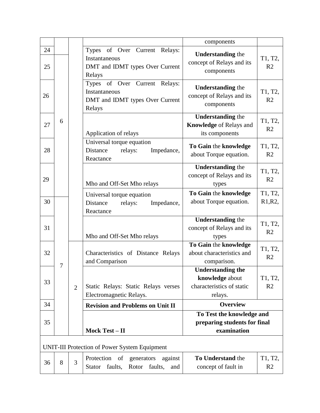|    |       |                |                                                      | components                                            |                |
|----|-------|----------------|------------------------------------------------------|-------------------------------------------------------|----------------|
| 24 |       |                | of Over Current<br><b>Types</b><br>Relays:           |                                                       |                |
|    |       |                | Instantaneous                                        | <b>Understanding the</b><br>concept of Relays and its | T1, T2,        |
| 25 |       |                | DMT and IDMT types Over Current                      | components                                            | R <sub>2</sub> |
|    |       |                | Relays                                               |                                                       |                |
|    |       |                | Types of Over Current Relays:                        | <b>Understanding the</b>                              |                |
| 26 |       |                | Instantaneous                                        | concept of Relays and its                             | T1, T2,        |
|    |       |                | DMT and IDMT types Over Current                      | components                                            | R <sub>2</sub> |
|    |       |                | Relays                                               |                                                       |                |
|    | 6     |                |                                                      | <b>Understanding the</b>                              | T1, T2,        |
| 27 |       |                |                                                      | <b>Knowledge of Relays and</b>                        | R <sub>2</sub> |
|    |       |                | Application of relays                                | its components                                        |                |
|    |       |                | Universal torque equation                            | To Gain the knowledge                                 | T1, T2,        |
| 28 |       |                | Distance<br>relays:<br>Impedance,                    | about Torque equation.                                | R <sub>2</sub> |
|    |       |                | Reactance                                            | <b>Understanding the</b>                              |                |
|    |       |                |                                                      | concept of Relays and its                             | T1, T2,        |
| 29 |       |                | Mho and Off-Set Mho relays                           | types                                                 | R <sub>2</sub> |
|    |       |                |                                                      |                                                       | T1, T2,        |
| 30 |       |                | Universal torque equation                            | To Gain the knowledge<br>about Torque equation.       | R1, R2,        |
|    |       |                | Distance<br>relays:<br>Impedance,                    |                                                       |                |
|    |       |                | Reactance                                            | <b>Understanding the</b>                              |                |
| 31 |       |                |                                                      | concept of Relays and its                             | T1, T2,        |
|    |       |                | Mho and Off-Set Mho relays                           | types                                                 | R <sub>2</sub> |
|    |       |                |                                                      | To Gain the knowledge                                 |                |
| 32 |       |                | Characteristics of Distance Relays                   | about characteristics and                             | T1, T2,        |
|    |       |                | and Comparison                                       | comparison.                                           | R <sub>2</sub> |
|    | 7     |                |                                                      | <b>Understanding the</b>                              |                |
|    |       |                |                                                      | knowledge about                                       | T1, T2,        |
| 33 |       | $\overline{2}$ | Static Relays: Static Relays verses                  | characteristics of static                             | R <sub>2</sub> |
|    |       |                | Electromagnetic Relays.                              | relays.                                               |                |
| 34 |       |                | <b>Revision and Problems on Unit II</b>              | <b>Overview</b>                                       |                |
|    |       |                |                                                      | To Test the knowledge and                             |                |
| 35 |       |                |                                                      | preparing students for final                          |                |
|    |       |                | Mock Test - II                                       | examination                                           |                |
|    |       |                |                                                      |                                                       |                |
|    |       |                | <b>UNIT-III Protection of Power System Equipment</b> |                                                       |                |
|    |       |                | Protection<br>against<br>of<br>generators            | To Understand the                                     | T1, T2,        |
| 36 | $8\,$ | 3              | faults,<br>Rotor<br>faults,<br><b>Stator</b><br>and  | concept of fault in                                   | R <sub>2</sub> |
|    |       |                |                                                      |                                                       |                |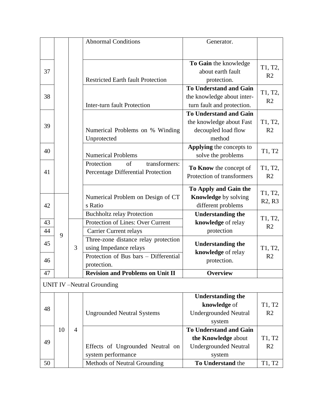|    |    |                | <b>Abnormal Conditions</b>               | Generator.                    |                                 |
|----|----|----------------|------------------------------------------|-------------------------------|---------------------------------|
|    |    |                |                                          |                               |                                 |
|    |    |                |                                          | To Gain the knowledge         |                                 |
| 37 |    |                |                                          | about earth fault             | T1, T2,                         |
|    |    |                | <b>Restricted Earth fault Protection</b> | protection.                   | R <sub>2</sub>                  |
|    |    |                |                                          | <b>To Understand and Gain</b> |                                 |
| 38 |    |                |                                          | the knowledge about inter-    | T1, T2,<br>R <sub>2</sub>       |
|    |    |                | <b>Inter-turn fault Protection</b>       | turn fault and protection.    |                                 |
|    |    |                |                                          | <b>To Understand and Gain</b> |                                 |
| 39 |    |                |                                          | the knowledge about Fast      | T1, T2,                         |
|    |    |                | Numerical Problems on % Winding          | decoupled load flow           | R <sub>2</sub>                  |
|    |    |                | Unprotected                              | method                        |                                 |
| 40 |    |                |                                          | Applying the concepts to      | T1, T2                          |
|    |    |                | <b>Numerical Problems</b>                | solve the problems            |                                 |
|    |    |                | of<br>transformers:<br>Protection        | To Know the concept of        | T1, T2,                         |
| 41 |    |                | Percentage Differential Protection       | Protection of transformers    | R <sub>2</sub>                  |
|    |    |                |                                          |                               |                                 |
|    |    |                |                                          | To Apply and Gain the         | T1, T2,                         |
|    |    |                | Numerical Problem on Design of CT        | Knowledge by solving          | R <sub>2</sub> , R <sub>3</sub> |
| 42 |    |                | s Ratio                                  | different problems            |                                 |
|    |    |                | <b>Buchholtz relay Protection</b>        | <b>Understanding the</b>      | T1, T2,                         |
| 43 |    |                | Protection of Lines: Over Current        | knowledge of relay            | R <sub>2</sub>                  |
| 44 | 9  |                | <b>Carrier Current relays</b>            | protection                    |                                 |
| 45 |    |                | Three-zone distance relay protection     | <b>Understanding the</b>      |                                 |
|    |    | 3              | using Impedance relays                   | knowledge of relay            | T1, T2,                         |
| 46 |    |                | Protection of Bus bars - Differential    | protection.                   | R <sub>2</sub>                  |
|    |    |                | protection.                              |                               |                                 |
| 47 |    |                | <b>Revision and Problems on Unit II</b>  | <b>Overview</b>               |                                 |
|    |    |                | <b>UNIT IV</b> – Neutral Grounding       |                               |                                 |
|    |    |                |                                          | <b>Understanding the</b>      |                                 |
| 48 |    |                |                                          | knowledge of                  | T1, T2                          |
|    |    |                | <b>Ungrounded Neutral Systems</b>        | <b>Undergrounded Neutral</b>  | R <sub>2</sub>                  |
|    |    |                |                                          | system                        |                                 |
|    | 10 | $\overline{4}$ |                                          | <b>To Understand and Gain</b> |                                 |
| 49 |    |                |                                          | the Knowledge about           | T1, T2                          |
|    |    |                | Effects of Ungrounded Neutral on         | <b>Undergrounded Neutral</b>  | R <sub>2</sub>                  |
|    |    |                | system performance                       | system                        |                                 |
| 50 |    |                | Methods of Neutral Grounding             | To Understand the             | T1, T2                          |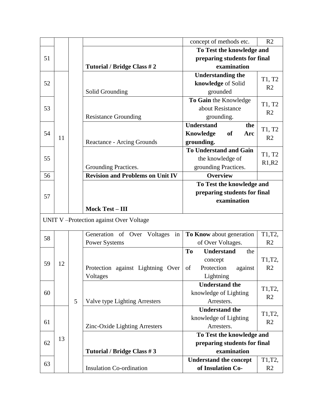|    |    |   |                                         | concept of methods etc.        | R <sub>2</sub>           |
|----|----|---|-----------------------------------------|--------------------------------|--------------------------|
|    |    |   |                                         | To Test the knowledge and      |                          |
| 51 |    |   |                                         | preparing students for final   |                          |
|    |    |   | Tutorial / Bridge Class # 2             | examination                    |                          |
|    |    |   |                                         | <b>Understanding the</b>       |                          |
| 52 |    |   |                                         | knowledge of Solid             | T1, T2                   |
|    |    |   | Solid Grounding                         | grounded                       | R <sub>2</sub>           |
|    |    |   |                                         | To Gain the Knowledge          | T1, T2                   |
| 53 |    |   |                                         | about Resistance               | R <sub>2</sub>           |
|    |    |   | <b>Resistance Grounding</b>             | grounding.                     |                          |
|    |    |   |                                         | <b>Understand</b><br>the       | T1, T2                   |
| 54 | 11 |   |                                         | <b>of</b><br>Knowledge<br>Arc  | R <sub>2</sub>           |
|    |    |   | <b>Reactance - Arcing Grounds</b>       | grounding.                     |                          |
|    |    |   |                                         | <b>To Understand and Gain</b>  | T1, T2                   |
| 55 |    |   |                                         | the knowledge of               | R1,R2                    |
|    |    |   | Grounding Practices.                    | grounding Practices.           |                          |
| 56 |    |   | <b>Revision and Problems on Unit IV</b> | <b>Overview</b>                |                          |
|    |    |   |                                         | To Test the knowledge and      |                          |
| 57 |    |   |                                         | preparing students for final   |                          |
|    |    |   |                                         | examination                    |                          |
|    |    |   | <b>Mock Test - III</b>                  |                                |                          |
|    |    |   | UNIT V-Protection against Over Voltage  |                                |                          |
|    |    |   | Generation of Over Voltages<br>in       | To Know about generation       | T1,T2,                   |
| 58 |    |   | <b>Power Systems</b>                    | of Over Voltages.              | R <sub>2</sub>           |
|    |    |   |                                         | To<br><b>Understand</b><br>the |                          |
| 59 | 12 |   |                                         | concept                        | T1,T2,                   |
|    |    |   | Protection against Lightning Over       | of<br>Protection<br>against    | R <sub>2</sub>           |
|    |    |   | Voltages                                | Lightning                      |                          |
|    |    |   |                                         | <b>Understand the</b>          | T1,T2,                   |
| 60 |    |   |                                         | knowledge of Lighting          | R <sub>2</sub>           |
|    |    | 5 | Valve type Lighting Arresters           | Arresters.                     |                          |
|    |    |   |                                         | <b>Understand the</b>          |                          |
| 61 |    |   |                                         | knowledge of Lighting          | T1,T2,<br>R <sub>2</sub> |
|    |    |   | Zinc-Oxide Lighting Arresters           | Arresters.                     |                          |
|    | 13 |   |                                         | To Test the knowledge and      |                          |
| 62 |    |   |                                         | preparing students for final   |                          |
|    |    |   | Tutorial / Bridge Class #3              | examination                    |                          |
| 63 |    |   |                                         | <b>Understand the concept</b>  | T1,T2,                   |
|    |    |   | <b>Insulation Co-ordination</b>         | of Insulation Co-              | R <sub>2</sub>           |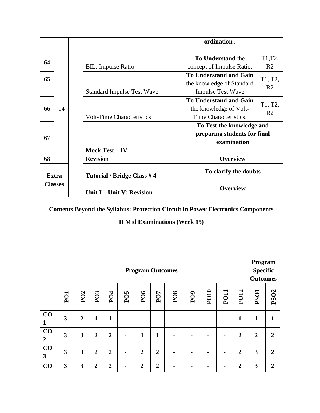|                                                                                         |              |                                      | ordination.                   |                           |  |  |  |  |  |
|-----------------------------------------------------------------------------------------|--------------|--------------------------------------|-------------------------------|---------------------------|--|--|--|--|--|
|                                                                                         |              |                                      |                               |                           |  |  |  |  |  |
| 64                                                                                      |              |                                      | <b>To Understand the</b>      | T1,T2,                    |  |  |  |  |  |
|                                                                                         |              | <b>BIL, Impulse Ratio</b>            | concept of Impulse Ratio.     | R <sub>2</sub>            |  |  |  |  |  |
| 65                                                                                      |              |                                      | <b>To Understand and Gain</b> | T1, T2,                   |  |  |  |  |  |
|                                                                                         |              |                                      | the knowledge of Standard     | R <sub>2</sub>            |  |  |  |  |  |
|                                                                                         |              | <b>Standard Impulse Test Wave</b>    | <b>Impulse Test Wave</b>      |                           |  |  |  |  |  |
|                                                                                         |              |                                      | <b>To Understand and Gain</b> |                           |  |  |  |  |  |
| 66                                                                                      | 14           |                                      | the knowledge of Volt-        | T1, T2,<br>R <sub>2</sub> |  |  |  |  |  |
|                                                                                         |              | <b>Volt-Time Characteristics</b>     | Time Characteristics.         |                           |  |  |  |  |  |
|                                                                                         |              |                                      | To Test the knowledge and     |                           |  |  |  |  |  |
| 67                                                                                      |              |                                      | preparing students for final  |                           |  |  |  |  |  |
|                                                                                         |              |                                      | examination                   |                           |  |  |  |  |  |
|                                                                                         |              | Mock Test - IV                       |                               |                           |  |  |  |  |  |
| 68                                                                                      |              | <b>Revision</b>                      | <b>Overview</b>               |                           |  |  |  |  |  |
|                                                                                         | <b>Extra</b> | Tutorial / Bridge Class #4           | To clarify the doubts         |                           |  |  |  |  |  |
| <b>Classes</b>                                                                          |              | Unit I – Unit V: Revision            | <b>Overview</b>               |                           |  |  |  |  |  |
| <b>Contents Beyond the Syllabus: Protection Circuit in Power Electronics Components</b> |              |                                      |                               |                           |  |  |  |  |  |
|                                                                                         |              | <b>II Mid Examinations (Week 15)</b> |                               |                           |  |  |  |  |  |

|                      | <b>Program Outcomes</b> |                             |                |                 |                 |                 |                |            |                 |             |                |                | Program<br><b>Specific</b><br><b>Outcomes</b> |                |
|----------------------|-------------------------|-----------------------------|----------------|-----------------|-----------------|-----------------|----------------|------------|-----------------|-------------|----------------|----------------|-----------------------------------------------|----------------|
|                      | PO1                     | P <sub>O</sub> <sub>2</sub> | PO3            | P <sub>04</sub> | PO <sub>5</sub> | PO <sub>6</sub> | PO7            | <b>PO8</b> | P <sub>09</sub> | <b>PO10</b> | <b>PO11</b>    | PO12           | <b>PSO1</b>                                   | <b>PSO2</b>    |
| CO<br>$\mathbf{1}$   | $\overline{\mathbf{3}}$ | $\overline{2}$              | 1              | $\mathbf{1}$    | $\blacksquare$  | $\blacksquare$  | $\blacksquare$ | ۰          | $\blacksquare$  |             | $\blacksquare$ | $\mathbf{1}$   | 1                                             | 1              |
| CO<br>$\overline{2}$ | 3                       | 3                           | $\overline{2}$ | $\overline{2}$  | $\blacksquare$  | $\mathbf{1}$    | 1              | ٠          |                 |             |                | $\overline{2}$ | $\boldsymbol{2}$                              | $\overline{2}$ |
| CO<br>3              | 3                       | $\mathbf{3}$                | $\overline{2}$ | $\overline{2}$  | $\blacksquare$  | $\overline{2}$  | $\overline{2}$ | ٠          |                 |             | $\blacksquare$ | $\overline{2}$ | 3                                             | $\overline{2}$ |
| CO                   | 3                       | 3                           | $\overline{2}$ | $\overline{2}$  |                 | $\overline{2}$  | $\overline{2}$ |            |                 |             |                | $\overline{2}$ | 3                                             | $\overline{2}$ |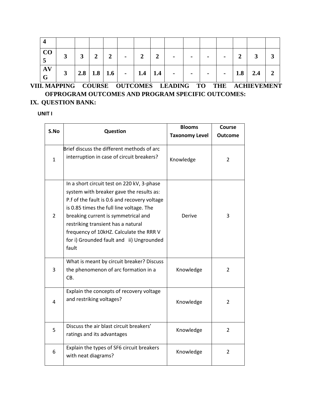| $ $ CO        | $\mathbf{3}$ | $\mathbf{3}$ | $\mathbf{2}$ | $2^{\square}$ | $\sim$                          | $\overline{2}$ | 2 | $\blacksquare$ | $\sim$ | $\blacksquare$ | $\blacksquare$ | $\overline{2}$ |           |                |
|---------------|--------------|--------------|--------------|---------------|---------------------------------|----------------|---|----------------|--------|----------------|----------------|----------------|-----------|----------------|
| $\bf{A}$<br>G | $\mathbf{3}$ |              |              |               | 2.8   1.8   1.6   -   1.4   1.4 |                |   | $\blacksquare$ | $\sim$ | $-1$           | $\blacksquare$ |                | $1.8$ 2.4 | $\overline{2}$ |

**VIII. MAPPING COURSE OUTCOMES LEADING TO THE ACHIEVEMENT OFPROGRAM OUTCOMES AND PROGRAM SPECIFIC OUTCOMES: IX. QUESTION BANK:**

## **UNIT I**

| S.No           | Question                                                                                                                                                                                                                                                                                                                                                        | <b>Blooms</b>         | <b>Course</b>  |
|----------------|-----------------------------------------------------------------------------------------------------------------------------------------------------------------------------------------------------------------------------------------------------------------------------------------------------------------------------------------------------------------|-----------------------|----------------|
|                |                                                                                                                                                                                                                                                                                                                                                                 | <b>Taxonomy Level</b> | <b>Outcome</b> |
| $\mathbf{1}$   | Brief discuss the different methods of arc<br>interruption in case of circuit breakers?                                                                                                                                                                                                                                                                         | Knowledge             | $\overline{2}$ |
| $\overline{2}$ | In a short circuit test on 220 kV, 3-phase<br>system with breaker gave the results as:<br>P.f of the fault is 0.6 and recovery voltage<br>is 0.85 times the full line voltage. The<br>breaking current is symmetrical and<br>restriking transient has a natural<br>frequency of 10kHZ. Calculate the RRR V<br>for i) Grounded fault and ii) Ungrounded<br>fault | Derive                | 3              |
| 3              | What is meant by circuit breaker? Discuss<br>the phenomenon of arc formation in a<br>CB.                                                                                                                                                                                                                                                                        | Knowledge             | 2              |
| 4              | Explain the concepts of recovery voltage<br>and restriking voltages?                                                                                                                                                                                                                                                                                            | Knowledge             | $\overline{2}$ |
| 5              | Discuss the air blast circuit breakers'<br>ratings and its advantages                                                                                                                                                                                                                                                                                           | Knowledge             | $\overline{2}$ |
| 6              | Explain the types of SF6 circuit breakers<br>with neat diagrams?                                                                                                                                                                                                                                                                                                | Knowledge             | 2              |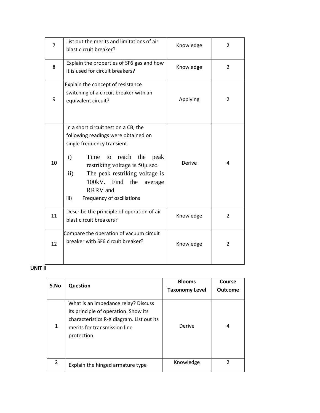| $\overline{7}$ | List out the merits and limitations of air<br>blast circuit breaker?                                                                                                                                                                                                                                                                               | Knowledge | 2              |
|----------------|----------------------------------------------------------------------------------------------------------------------------------------------------------------------------------------------------------------------------------------------------------------------------------------------------------------------------------------------------|-----------|----------------|
| 8              | Explain the properties of SF6 gas and how<br>it is used for circuit breakers?                                                                                                                                                                                                                                                                      | Knowledge | $\overline{2}$ |
| 9              | Explain the concept of resistance<br>switching of a circuit breaker with an<br>equivalent circuit?                                                                                                                                                                                                                                                 | Applying  | 2              |
| 10             | In a short circuit test on a CB, the<br>following readings were obtained on<br>single frequency transient.<br>$\mathbf{i}$<br>Time<br>reach<br>the<br>to<br>peak<br>restriking voltage is $50\mu$ sec.<br>$\mathbf{ii}$<br>The peak restriking voltage is<br>100kV. Find<br>the<br>average<br><b>RRRV</b> and<br>Frequency of oscillations<br>iii) | Derive    | 4              |
| 11             | Describe the principle of operation of air<br>blast circuit breakers?                                                                                                                                                                                                                                                                              | Knowledge | $\overline{2}$ |
| 12             | Compare the operation of vacuum circuit<br>breaker with SF6 circuit breaker?                                                                                                                                                                                                                                                                       | Knowledge | $\overline{2}$ |

## **UNIT II**

| S.No          | <b>Question</b>                                                                                                                                                         | <b>Blooms</b><br><b>Taxonomy Level</b> | Course<br><b>Outcome</b> |
|---------------|-------------------------------------------------------------------------------------------------------------------------------------------------------------------------|----------------------------------------|--------------------------|
| 1             | What is an impedance relay? Discuss<br>its principle of operation. Show its<br>characteristics R-X diagram. List out its<br>merits for transmission line<br>protection. | Derive                                 | 4                        |
| $\mathcal{P}$ | Explain the hinged armature type                                                                                                                                        | Knowledge                              | $\mathcal{P}$            |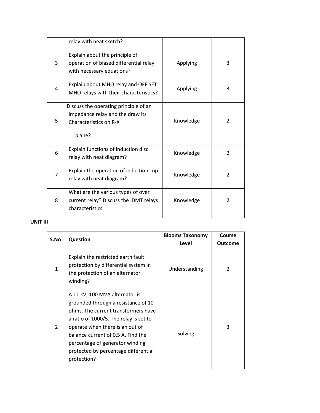|   | relay with neat sketch?                                                                                       |           |                |
|---|---------------------------------------------------------------------------------------------------------------|-----------|----------------|
| 3 | Explain about the principle of<br>operation of biased differential relay<br>with necessary equations?         | Applying  | 3              |
| 4 | Explain about MHO relay and OFF SET<br>MHO relays with their characteristics?                                 | Applying  | 3              |
| 5 | Discuss the operating principle of an<br>impedance relay and the draw its<br>Characteristics on R-X<br>plane? | Knowledge | $\overline{2}$ |
| 6 | Explain functions of induction disc<br>relay with neat diagram?                                               | Knowledge | $\overline{2}$ |
| 7 | Explain the operation of induction cup<br>relay with neat diagram?                                            | Knowledge | $\overline{2}$ |
| 8 | What are the various types of over<br>current relay? Discuss the IDMT relays<br>characteristics               | Knowledge | $\overline{2}$ |

# **UNIT III**

| S.No          | <b>Question</b>                                                                                                                                                                                                                                                                                                           | <b>Blooms Taxonomy</b><br>Level | Course<br><b>Outcome</b> |
|---------------|---------------------------------------------------------------------------------------------------------------------------------------------------------------------------------------------------------------------------------------------------------------------------------------------------------------------------|---------------------------------|--------------------------|
| 1             | Explain the restricted earth fault<br>protection by differential system in<br>the protection of an alternator<br>winding?                                                                                                                                                                                                 | Understanding                   | $\mathfrak{p}$           |
| $\mathcal{P}$ | A 11 kV, 100 MVA alternator is<br>grounded through a resistance of 10<br>ohms. The current transformers have<br>a ratio of 1000/5. The relay is set to<br>operate when there is an out of<br>balance current of 0.5 A. Find the<br>percentage of generator winding<br>protected by percentage differential<br>protection? | Solving                         | 3                        |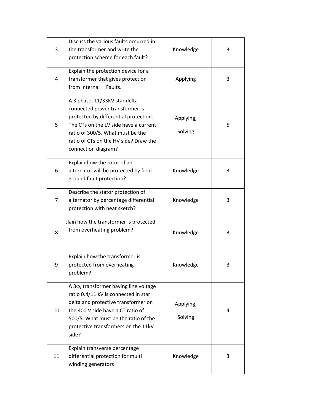| 3  | Discuss the various faults occurred in<br>the transformer and write the<br>protection scheme for each fault?                                                                                                                                             | Knowledge            | 3 |
|----|----------------------------------------------------------------------------------------------------------------------------------------------------------------------------------------------------------------------------------------------------------|----------------------|---|
| 4  | Explain the protection device for a<br>transformer that gives protection<br>from internal<br>Faults.                                                                                                                                                     | Applying             | 3 |
| 5  | A 3 phase, 11/33KV star delta<br>connected power transformer is<br>protected by differential protection.<br>The CTs on the LV side have a current<br>ratio of 300/5. What must be the<br>ratio of CTs on the HV side? Draw the<br>connection diagram?    | Applying,<br>Solving | 5 |
| 6  | Explain how the rotor of an<br>alternator will be protected by field<br>ground fault protection?                                                                                                                                                         | Knowledge            | 3 |
| 7  | Describe the stator protection of<br>alternator by percentage differential<br>protection with neat sketch?                                                                                                                                               | Knowledge            | 3 |
| 8  | blain how the transformer is protected<br>from overheating problem?                                                                                                                                                                                      | Knowledge            | 3 |
| 9  | Explain how the transformer is<br>protected from overheating<br>problem?                                                                                                                                                                                 | Knowledge            | 3 |
| 10 | A 3 $\phi$ , transformer having line voltage<br>ratio 0.4/11 kV is connected in star<br>delta and protective transformer on<br>the 400 V side have a CT ratio of<br>500/5. What must be the ratio of the<br>protective transformers on the 11kV<br>side? | Applying,<br>Solving | 4 |
| 11 | Explain transverse percentage<br>differential protection for multi<br>winding generators                                                                                                                                                                 | Knowledge            | 3 |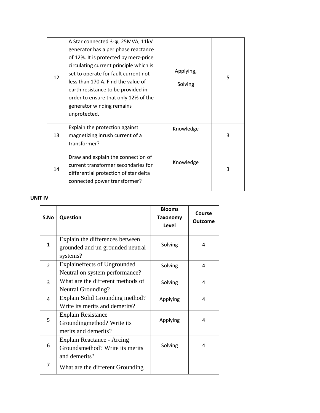| 12 | A Star connected 3-φ, 25MVA, 11kV<br>generator has a per phase reactance<br>of 12%. It is protected by merz-price<br>circulating current principle which is<br>set to operate for fault current not<br>less than 170 A. Find the value of<br>earth resistance to be provided in<br>order to ensure that only 12% of the<br>generator winding remains<br>unprotected. | Applying,<br>Solving | 5 |
|----|----------------------------------------------------------------------------------------------------------------------------------------------------------------------------------------------------------------------------------------------------------------------------------------------------------------------------------------------------------------------|----------------------|---|
| 13 | Explain the protection against<br>magnetizing inrush current of a<br>transformer?                                                                                                                                                                                                                                                                                    | Knowledge            | 3 |
| 14 | Draw and explain the connection of<br>current transformer secondaries for<br>differential protection of star delta<br>connected power transformer?                                                                                                                                                                                                                   | Knowledge            | 3 |

## **UNIT IV**

| S.No           | Question                                                                        | <b>Blooms</b><br><b>Taxonomy</b><br>Level | Course<br>Outcome |
|----------------|---------------------------------------------------------------------------------|-------------------------------------------|-------------------|
| $\mathbf{1}$   | Explain the differences between<br>grounded and un grounded neutral<br>systems? | Solving                                   | 4                 |
| $\overline{2}$ | <b>Explaineffects of Ungrounded</b><br>Neutral on system performance?           | Solving                                   | 4                 |
| 3              | What are the different methods of<br>Neutral Grounding?                         | Solving                                   | 4                 |
| 4              | Explain Solid Grounding method?<br>Write its merits and demerits?               | Applying                                  | 4                 |
| 5              | <b>Explain Resistance</b><br>Groundingmethod? Write its<br>merits and demerits? | Applying                                  | 4                 |
| 6              | Explain Reactance - Arcing<br>Groundsmethod? Write its merits<br>and demerits?  | Solving                                   | 4                 |
| $\overline{7}$ | What are the different Grounding                                                |                                           |                   |